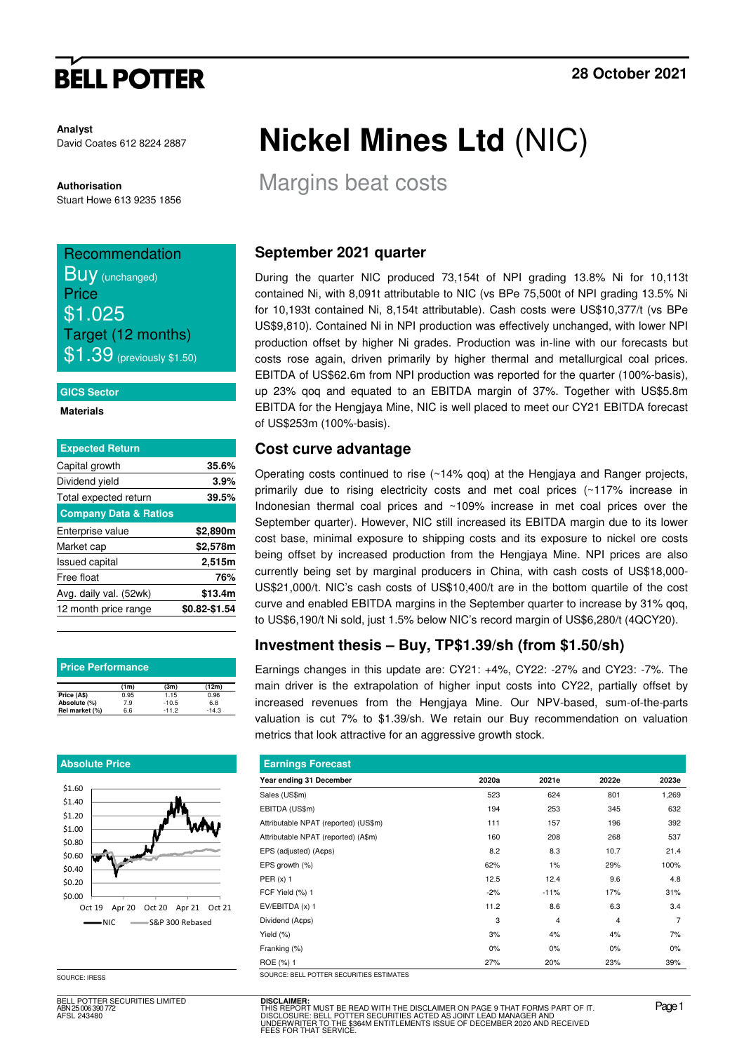# **BELL POTTER**

**Analyst** David Coates 612 8224 2887

**Authorisation**  Stuart Howe 613 9235 1856

### Recommendation **BUV** (unchanged) **Price** \$1.025 Target (12 months)

 $\$1.39$  (previously \$1.50)

#### **GICS Sector**

**Materials** 

| 35.6%         |
|---------------|
|               |
| 3.9%          |
| 39.5%         |
|               |
| \$2,890m      |
| \$2,578m      |
| 2,515m        |
| 76%           |
| \$13.4m       |
| \$0.82-\$1.54 |
|               |

| <b>Price Performance</b> |      |         |         |  |  |  |  |  |  |
|--------------------------|------|---------|---------|--|--|--|--|--|--|
|                          | (1m) | (3m)    | (12m)   |  |  |  |  |  |  |
| Price (A\$)              | 0.95 | 1.15    | 0.96    |  |  |  |  |  |  |
| Absolute (%)             | 7.9  | $-10.5$ | 6.8     |  |  |  |  |  |  |
| Rel market (%)           | 6.6  | $-11.2$ | $-14.3$ |  |  |  |  |  |  |

#### **Absolute Price**



SOURCE: IRESS

BELL POTTER SECURITIES LIMITED ABN 25 006 390 772 AFSL 243480

# **Nickel Mines Ltd** (NIC)

Margins beat costs

#### **September 2021 quarter**

During the quarter NIC produced 73,154t of NPI grading 13.8% Ni for 10,113t contained Ni, with 8,091t attributable to NIC (vs BPe 75,500t of NPI grading 13.5% Ni for 10,193t contained Ni, 8,154t attributable). Cash costs were US\$10,377/t (vs BPe US\$9,810). Contained Ni in NPI production was effectively unchanged, with lower NPI production offset by higher Ni grades. Production was in-line with our forecasts but costs rose again, driven primarily by higher thermal and metallurgical coal prices. EBITDA of US\$62.6m from NPI production was reported for the quarter (100%-basis), up 23% qoq and equated to an EBITDA margin of 37%. Together with US\$5.8m EBITDA for the Hengjaya Mine, NIC is well placed to meet our CY21 EBITDA forecast of US\$253m (100%-basis).

#### **Cost curve advantage**

Operating costs continued to rise (~14% qoq) at the Hengjaya and Ranger projects, primarily due to rising electricity costs and met coal prices (~117% increase in Indonesian thermal coal prices and ~109% increase in met coal prices over the September quarter). However, NIC still increased its EBITDA margin due to its lower cost base, minimal exposure to shipping costs and its exposure to nickel ore costs being offset by increased production from the Hengjaya Mine. NPI prices are also currently being set by marginal producers in China, with cash costs of US\$18,000- US\$21,000/t. NIC's cash costs of US\$10,400/t are in the bottom quartile of the cost curve and enabled EBITDA margins in the September quarter to increase by 31% qoq, to US\$6,190/t Ni sold, just 1.5% below NIC's record margin of US\$6,280/t (4QCY20).

### **Investment thesis – Buy, TP\$1.39/sh (from \$1.50/sh)**

Earnings changes in this update are: CY21: +4%, CY22: -27% and CY23: -7%. The main driver is the extrapolation of higher input costs into CY22, partially offset by increased revenues from the Hengjaya Mine. Our NPV-based, sum-of-the-parts valuation is cut 7% to \$1.39/sh. We retain our Buy recommendation on valuation metrics that look attractive for an aggressive growth stock.

| <b>Earnings Forecast</b>                 |       |        |                |                |  |  |  |  |  |  |
|------------------------------------------|-------|--------|----------------|----------------|--|--|--|--|--|--|
| Year ending 31 December                  | 2020a | 2021e  | 2022e          | 2023e          |  |  |  |  |  |  |
| Sales (US\$m)                            | 523   | 624    | 801            | 1,269          |  |  |  |  |  |  |
| EBITDA (US\$m)                           | 194   | 253    | 345            | 632            |  |  |  |  |  |  |
| Attributable NPAT (reported) (US\$m)     | 111   | 157    | 196            | 392            |  |  |  |  |  |  |
| Attributable NPAT (reported) (A\$m)      | 160   | 208    | 268            | 537            |  |  |  |  |  |  |
| EPS (adjusted) (A¢ps)                    | 8.2   | 8.3    | 10.7           | 21.4           |  |  |  |  |  |  |
| EPS growth (%)                           | 62%   | 1%     | 29%            | 100%           |  |  |  |  |  |  |
| PER $(x)$ 1                              | 12.5  | 12.4   | 9.6            | 4.8            |  |  |  |  |  |  |
| FCF Yield (%) 1                          | $-2%$ | $-11%$ | 17%            | 31%            |  |  |  |  |  |  |
| EV/EBITDA (x) 1                          | 11.2  | 8.6    | 6.3            | 3.4            |  |  |  |  |  |  |
| Dividend (A¢ps)                          | 3     | 4      | $\overline{4}$ | $\overline{7}$ |  |  |  |  |  |  |
| Yield (%)                                | 3%    | 4%     | 4%             | 7%             |  |  |  |  |  |  |
| Franking (%)                             | $0\%$ | 0%     | 0%             | 0%             |  |  |  |  |  |  |
| ROE (%) 1                                | 27%   | 20%    | 23%            | 39%            |  |  |  |  |  |  |
| COUDCE- BELL BOTTED CECUDITIES ESTIMATES |       |        |                |                |  |  |  |  |  |  |

**DISCLAIMER:** THIS REPORT MUST BE READ WITH THE DISCLAIMER ON PAGE 9 THAT FORMS PART OF IT.<br>DISCLOSURE: BELL POTTER SECURITIES ACTED AS JOINT LEAD MANAGER AND<br>UNDERWRITER TO THE \$364M ENTITLEMENTS ISSUE OF DECEMBER 2020 AND RECEIVED<br>FEE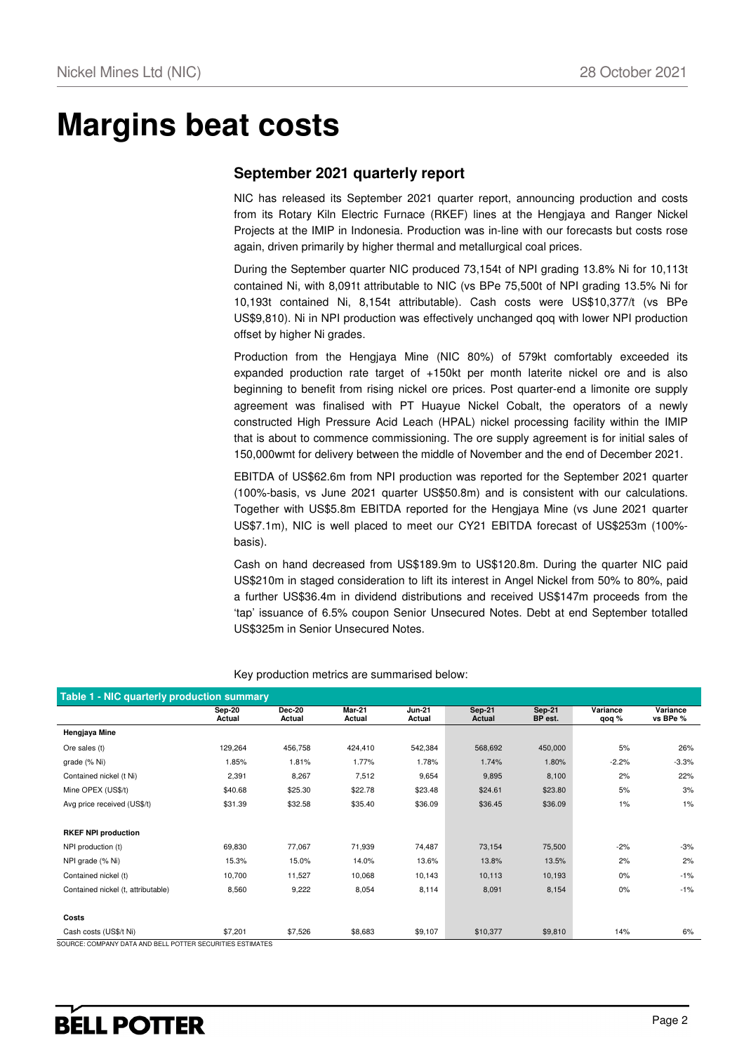## **Margins beat costs**

#### **September 2021 quarterly report**

NIC has released its September 2021 quarter report, announcing production and costs from its Rotary Kiln Electric Furnace (RKEF) lines at the Hengjaya and Ranger Nickel Projects at the IMIP in Indonesia. Production was in-line with our forecasts but costs rose again, driven primarily by higher thermal and metallurgical coal prices.

During the September quarter NIC produced 73,154t of NPI grading 13.8% Ni for 10,113t contained Ni, with 8,091t attributable to NIC (vs BPe 75,500t of NPI grading 13.5% Ni for 10,193t contained Ni, 8,154t attributable). Cash costs were US\$10,377/t (vs BPe US\$9,810). Ni in NPI production was effectively unchanged qoq with lower NPI production offset by higher Ni grades.

Production from the Hengjaya Mine (NIC 80%) of 579kt comfortably exceeded its expanded production rate target of +150kt per month laterite nickel ore and is also beginning to benefit from rising nickel ore prices. Post quarter-end a limonite ore supply agreement was finalised with PT Huayue Nickel Cobalt, the operators of a newly constructed High Pressure Acid Leach (HPAL) nickel processing facility within the IMIP that is about to commence commissioning. The ore supply agreement is for initial sales of 150,000wmt for delivery between the middle of November and the end of December 2021.

EBITDA of US\$62.6m from NPI production was reported for the September 2021 quarter (100%-basis, vs June 2021 quarter US\$50.8m) and is consistent with our calculations. Together with US\$5.8m EBITDA reported for the Hengjaya Mine (vs June 2021 quarter US\$7.1m), NIC is well placed to meet our CY21 EBITDA forecast of US\$253m (100% basis).

Cash on hand decreased from US\$189.9m to US\$120.8m. During the quarter NIC paid US\$210m in staged consideration to lift its interest in Angel Nickel from 50% to 80%, paid a further US\$36.4m in dividend distributions and received US\$147m proceeds from the 'tap' issuance of 6.5% coupon Senior Unsecured Notes. Debt at end September totalled US\$325m in Senior Unsecured Notes.

| Table 1 - NIC quarterly production summary |                         |                         |                  |                         |                         |                          |                   |                      |  |  |  |
|--------------------------------------------|-------------------------|-------------------------|------------------|-------------------------|-------------------------|--------------------------|-------------------|----------------------|--|--|--|
|                                            | <b>Sep-20</b><br>Actual | <b>Dec-20</b><br>Actual | Mar-21<br>Actual | <b>Jun-21</b><br>Actual | <b>Sep-21</b><br>Actual | <b>Sep-21</b><br>BP est. | Variance<br>qoq % | Variance<br>vs BPe % |  |  |  |
| Hengjaya Mine                              |                         |                         |                  |                         |                         |                          |                   |                      |  |  |  |
| Ore sales (t)                              | 129,264                 | 456,758                 | 424,410          | 542,384                 | 568,692                 | 450,000                  | 5%                | 26%                  |  |  |  |
| grade (% Ni)                               | 1.85%                   | 1.81%                   | 1.77%            | 1.78%                   | 1.74%                   | 1.80%                    | $-2.2%$           | $-3.3%$              |  |  |  |
| Contained nickel (t Ni)                    | 2,391                   | 8,267                   | 7,512            | 9,654                   | 9,895                   | 8,100                    | 2%                | 22%                  |  |  |  |
| Mine OPEX (US\$/t)                         | \$40.68                 | \$25.30                 | \$22.78          | \$23.48                 | \$24.61                 | \$23.80                  | 5%                | 3%                   |  |  |  |
| Avg price received (US\$/t)                | \$31.39                 | \$32.58                 | \$35.40          | \$36.09                 | \$36.45                 | \$36.09                  | 1%                | $1\%$                |  |  |  |
|                                            |                         |                         |                  |                         |                         |                          |                   |                      |  |  |  |
| <b>RKEF NPI production</b>                 |                         |                         |                  |                         |                         |                          |                   |                      |  |  |  |
| NPI production (t)                         | 69,830                  | 77,067                  | 71,939           | 74,487                  | 73,154                  | 75,500                   | $-2%$             | $-3%$                |  |  |  |
| NPI grade (% Ni)                           | 15.3%                   | 15.0%                   | 14.0%            | 13.6%                   | 13.8%                   | 13.5%                    | 2%                | 2%                   |  |  |  |
| Contained nickel (t)                       | 10,700                  | 11,527                  | 10,068           | 10,143                  | 10,113                  | 10,193                   | 0%                | $-1%$                |  |  |  |
| Contained nickel (t, attributable)         | 8,560                   | 9,222                   | 8,054            | 8,114                   | 8,091                   | 8,154                    | 0%                | $-1%$                |  |  |  |
|                                            |                         |                         |                  |                         |                         |                          |                   |                      |  |  |  |
| Costs                                      |                         |                         |                  |                         |                         |                          |                   |                      |  |  |  |
| Cash costs (US\$/t Ni)                     | \$7,201                 | \$7,526                 | \$8,683          | \$9,107                 | \$10,377                | \$9,810                  | 14%               | 6%                   |  |  |  |

Key production metrics are summarised below:

SOURCE: COMPANY DATA AND BELL POTTER SECURITIES ESTIMATES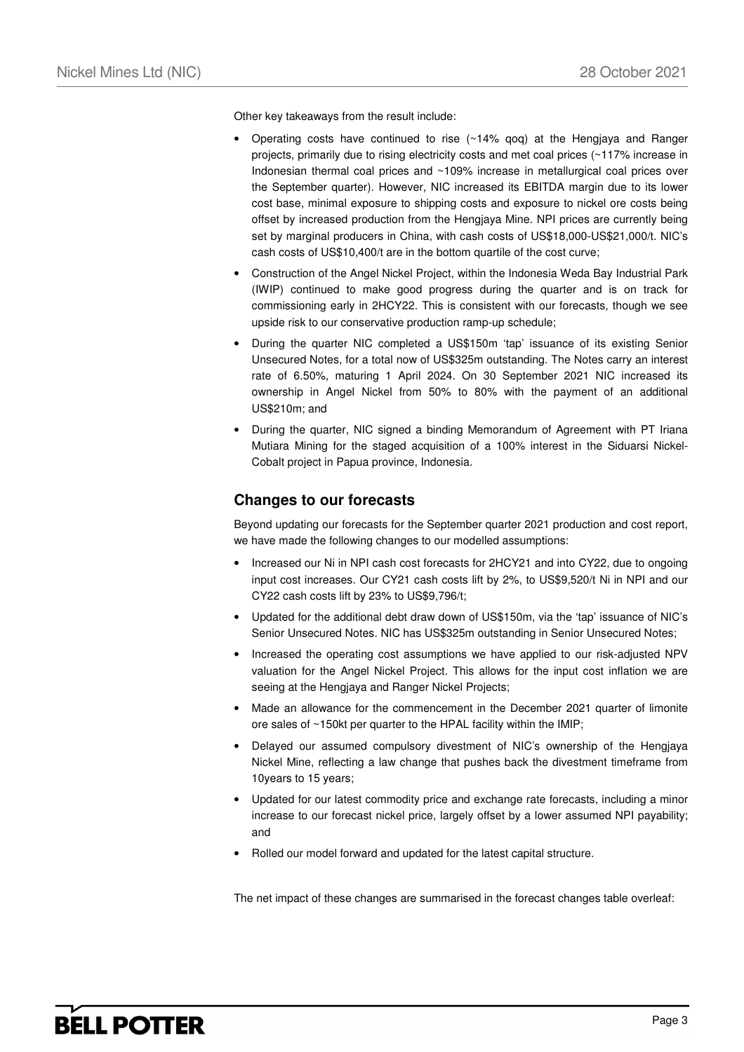Other key takeaways from the result include:

- Operating costs have continued to rise  $(\sim 14\%$  gog) at the Hengjaya and Ranger projects, primarily due to rising electricity costs and met coal prices (~117% increase in Indonesian thermal coal prices and ~109% increase in metallurgical coal prices over the September quarter). However, NIC increased its EBITDA margin due to its lower cost base, minimal exposure to shipping costs and exposure to nickel ore costs being offset by increased production from the Hengjaya Mine. NPI prices are currently being set by marginal producers in China, with cash costs of US\$18,000-US\$21,000/t. NIC's cash costs of US\$10,400/t are in the bottom quartile of the cost curve;
- Construction of the Angel Nickel Project, within the Indonesia Weda Bay Industrial Park (IWIP) continued to make good progress during the quarter and is on track for commissioning early in 2HCY22. This is consistent with our forecasts, though we see upside risk to our conservative production ramp-up schedule;
- During the quarter NIC completed a US\$150m 'tap' issuance of its existing Senior Unsecured Notes, for a total now of US\$325m outstanding. The Notes carry an interest rate of 6.50%, maturing 1 April 2024. On 30 September 2021 NIC increased its ownership in Angel Nickel from 50% to 80% with the payment of an additional US\$210m; and
- During the quarter, NIC signed a binding Memorandum of Agreement with PT Iriana Mutiara Mining for the staged acquisition of a 100% interest in the Siduarsi Nickel-Cobalt project in Papua province, Indonesia.

#### **Changes to our forecasts**

Beyond updating our forecasts for the September quarter 2021 production and cost report, we have made the following changes to our modelled assumptions:

- Increased our Ni in NPI cash cost forecasts for 2HCY21 and into CY22, due to ongoing input cost increases. Our CY21 cash costs lift by 2%, to US\$9,520/t Ni in NPI and our CY22 cash costs lift by 23% to US\$9,796/t;
- Updated for the additional debt draw down of US\$150m, via the 'tap' issuance of NIC's Senior Unsecured Notes. NIC has US\$325m outstanding in Senior Unsecured Notes;
- Increased the operating cost assumptions we have applied to our risk-adjusted NPV valuation for the Angel Nickel Project. This allows for the input cost inflation we are seeing at the Hengjaya and Ranger Nickel Projects;
- Made an allowance for the commencement in the December 2021 quarter of limonite ore sales of ~150kt per quarter to the HPAL facility within the IMIP;
- Delayed our assumed compulsory divestment of NIC's ownership of the Hengjaya Nickel Mine, reflecting a law change that pushes back the divestment timeframe from 10years to 15 years;
- Updated for our latest commodity price and exchange rate forecasts, including a minor increase to our forecast nickel price, largely offset by a lower assumed NPI payability; and
- Rolled our model forward and updated for the latest capital structure.

The net impact of these changes are summarised in the forecast changes table overleaf: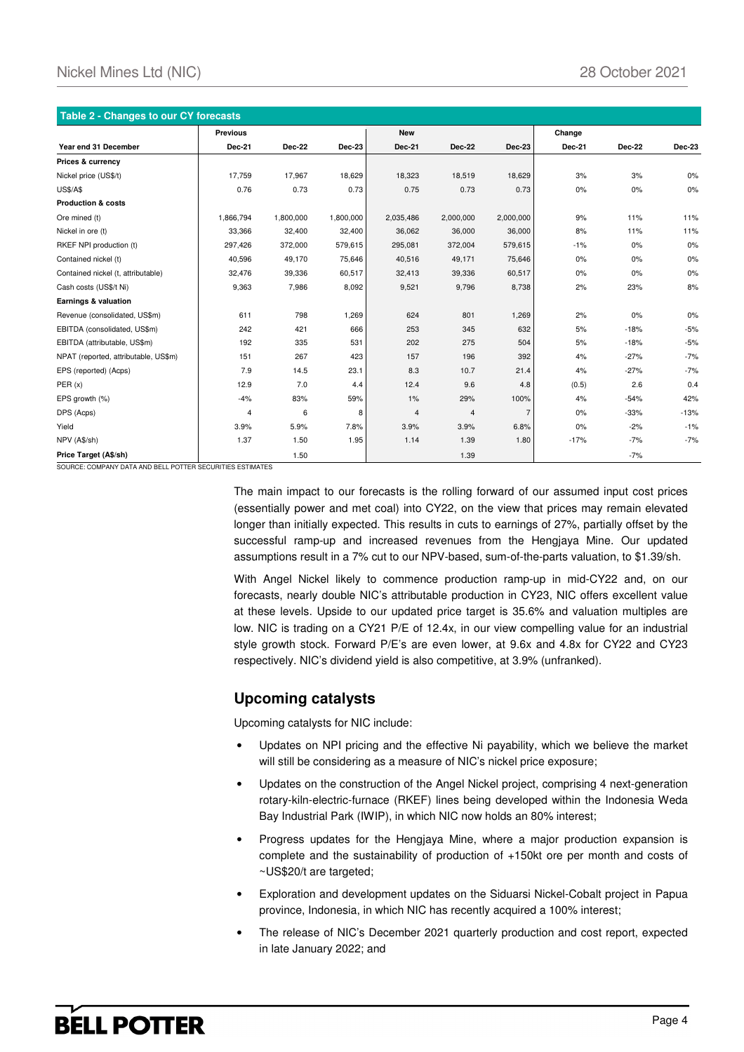| Table 2 - Changes to our CY forecasts |                 |               |               |                |               |                |               |        |               |  |
|---------------------------------------|-----------------|---------------|---------------|----------------|---------------|----------------|---------------|--------|---------------|--|
|                                       | <b>Previous</b> |               |               | <b>New</b>     |               |                | Change        |        |               |  |
| Year end 31 December                  | <b>Dec-21</b>   | <b>Dec-22</b> | <b>Dec-23</b> | <b>Dec-21</b>  | <b>Dec-22</b> | Dec-23         | <b>Dec-21</b> | Dec-22 | <b>Dec-23</b> |  |
| Prices & currency                     |                 |               |               |                |               |                |               |        |               |  |
| Nickel price (US\$/t)                 | 17,759          | 17,967        | 18,629        | 18,323         | 18,519        | 18,629         | 3%            | 3%     | 0%            |  |
| <b>US\$/A\$</b>                       | 0.76            | 0.73          | 0.73          | 0.75           | 0.73          | 0.73           | 0%            | 0%     | 0%            |  |
| <b>Production &amp; costs</b>         |                 |               |               |                |               |                |               |        |               |  |
| Ore mined (t)                         | 1,866,794       | 1,800,000     | 1,800,000     | 2,035,486      | 2,000,000     | 2,000,000      | 9%            | 11%    | 11%           |  |
| Nickel in ore (t)                     | 33,366          | 32,400        | 32.400        | 36,062         | 36,000        | 36,000         | 8%            | 11%    | 11%           |  |
| RKEF NPI production (t)               | 297,426         | 372,000       | 579,615       | 295,081        | 372,004       | 579,615        | $-1%$         | 0%     | 0%            |  |
| Contained nickel (t)                  | 40,596          | 49,170        | 75,646        | 40,516         | 49,171        | 75,646         | 0%            | 0%     | 0%            |  |
| Contained nickel (t, attributable)    | 32,476          | 39,336        | 60,517        | 32,413         | 39,336        | 60,517         | 0%            | 0%     | 0%            |  |
| Cash costs (US\$/t Ni)                | 9,363           | 7,986         | 8,092         | 9,521          | 9,796         | 8,738          | 2%            | 23%    | 8%            |  |
| Earnings & valuation                  |                 |               |               |                |               |                |               |        |               |  |
| Revenue (consolidated, US\$m)         | 611             | 798           | 1,269         | 624            | 801           | 1,269          | 2%            | 0%     | 0%            |  |
| EBITDA (consolidated, US\$m)          | 242             | 421           | 666           | 253            | 345           | 632            | 5%            | $-18%$ | $-5%$         |  |
| EBITDA (attributable, US\$m)          | 192             | 335           | 531           | 202            | 275           | 504            | 5%            | $-18%$ | $-5%$         |  |
| NPAT (reported, attributable, US\$m)  | 151             | 267           | 423           | 157            | 196           | 392            | 4%            | $-27%$ | $-7%$         |  |
| EPS (reported) (Acps)                 | 7.9             | 14.5          | 23.1          | 8.3            | 10.7          | 21.4           | 4%            | $-27%$ | $-7%$         |  |
| PER(x)                                | 12.9            | 7.0           | 4.4           | 12.4           | 9.6           | 4.8            | (0.5)         | 2.6    | 0.4           |  |
| EPS growth (%)                        | $-4%$           | 83%           | 59%           | 1%             | 29%           | 100%           | 4%            | $-54%$ | 42%           |  |
| DPS (Acps)                            | 4               | 6             | 8             | $\overline{4}$ | 4             | $\overline{7}$ | 0%            | $-33%$ | $-13%$        |  |
| Yield                                 | 3.9%            | 5.9%          | 7.8%          | 3.9%           | 3.9%          | 6.8%           | 0%            | $-2%$  | $-1%$         |  |
| NPV (A\$/sh)                          | 1.37            | 1.50          | 1.95          | 1.14           | 1.39          | 1.80           | $-17%$        | $-7%$  | $-7%$         |  |
| Price Target (A\$/sh)                 |                 | 1.50          |               |                | 1.39          |                |               | $-7%$  |               |  |

SOURCE: COMPANY DATA AND BELL POTTER SECURIT

The main impact to our forecasts is the rolling forward of our assumed input cost prices (essentially power and met coal) into CY22, on the view that prices may remain elevated longer than initially expected. This results in cuts to earnings of 27%, partially offset by the successful ramp-up and increased revenues from the Hengjaya Mine. Our updated assumptions result in a 7% cut to our NPV-based, sum-of-the-parts valuation, to \$1.39/sh.

With Angel Nickel likely to commence production ramp-up in mid-CY22 and, on our forecasts, nearly double NIC's attributable production in CY23, NIC offers excellent value at these levels. Upside to our updated price target is 35.6% and valuation multiples are low. NIC is trading on a CY21 P/E of 12.4x, in our view compelling value for an industrial style growth stock. Forward P/E's are even lower, at 9.6x and 4.8x for CY22 and CY23 respectively. NIC's dividend yield is also competitive, at 3.9% (unfranked).

#### **Upcoming catalysts**

Upcoming catalysts for NIC include:

- Updates on NPI pricing and the effective Ni payability, which we believe the market will still be considering as a measure of NIC's nickel price exposure;
- Updates on the construction of the Angel Nickel project, comprising 4 next-generation rotary-kiln-electric-furnace (RKEF) lines being developed within the Indonesia Weda Bay Industrial Park (IWIP), in which NIC now holds an 80% interest;
- Progress updates for the Hengjaya Mine, where a major production expansion is complete and the sustainability of production of +150kt ore per month and costs of ~US\$20/t are targeted;
- Exploration and development updates on the Siduarsi Nickel-Cobalt project in Papua province, Indonesia, in which NIC has recently acquired a 100% interest;
- The release of NIC's December 2021 quarterly production and cost report, expected in late January 2022; and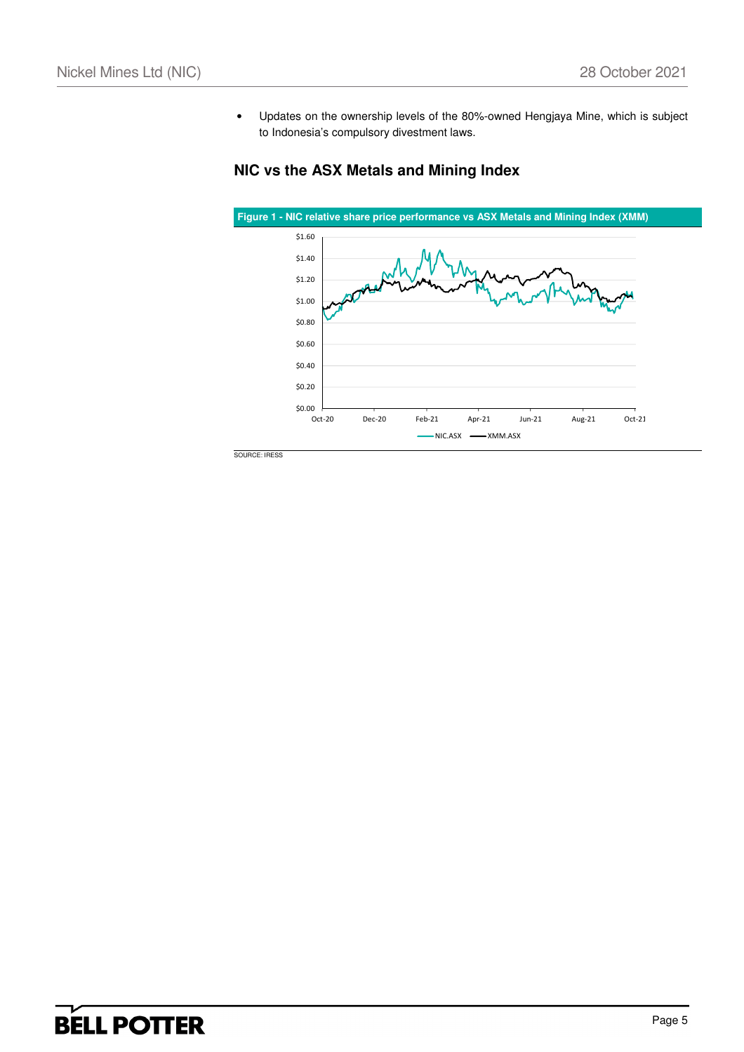• Updates on the ownership levels of the 80%-owned Hengjaya Mine, which is subject to Indonesia's compulsory divestment laws.

### **NIC vs the ASX Metals and Mining Index**

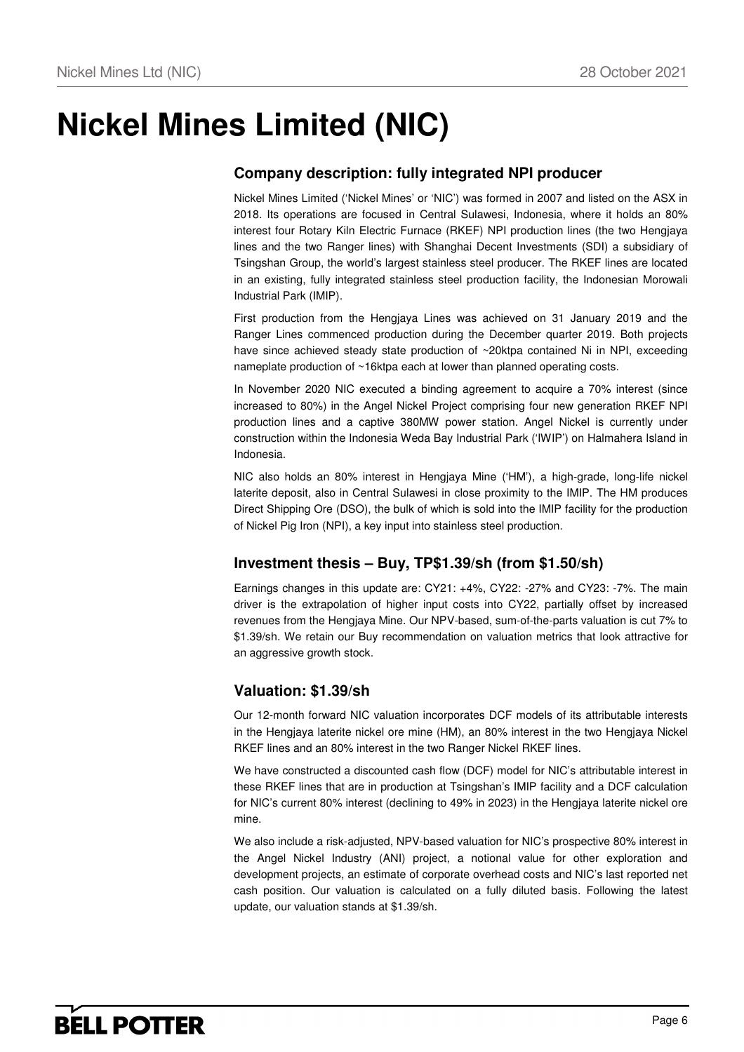## **Nickel Mines Limited (NIC)**

### **Company description: fully integrated NPI producer**

Nickel Mines Limited ('Nickel Mines' or 'NIC') was formed in 2007 and listed on the ASX in 2018. Its operations are focused in Central Sulawesi, Indonesia, where it holds an 80% interest four Rotary Kiln Electric Furnace (RKEF) NPI production lines (the two Hengjaya lines and the two Ranger lines) with Shanghai Decent Investments (SDI) a subsidiary of Tsingshan Group, the world's largest stainless steel producer. The RKEF lines are located in an existing, fully integrated stainless steel production facility, the Indonesian Morowali Industrial Park (IMIP).

First production from the Hengjaya Lines was achieved on 31 January 2019 and the Ranger Lines commenced production during the December quarter 2019. Both projects have since achieved steady state production of ~20ktpa contained Ni in NPI, exceeding nameplate production of ~16ktpa each at lower than planned operating costs.

In November 2020 NIC executed a binding agreement to acquire a 70% interest (since increased to 80%) in the Angel Nickel Project comprising four new generation RKEF NPI production lines and a captive 380MW power station. Angel Nickel is currently under construction within the Indonesia Weda Bay Industrial Park ('IWIP') on Halmahera Island in Indonesia.

NIC also holds an 80% interest in Hengjaya Mine ('HM'), a high-grade, long-life nickel laterite deposit, also in Central Sulawesi in close proximity to the IMIP. The HM produces Direct Shipping Ore (DSO), the bulk of which is sold into the IMIP facility for the production of Nickel Pig Iron (NPI), a key input into stainless steel production.

### **Investment thesis – Buy, TP\$1.39/sh (from \$1.50/sh)**

Earnings changes in this update are: CY21: +4%, CY22: -27% and CY23: -7%. The main driver is the extrapolation of higher input costs into CY22, partially offset by increased revenues from the Hengjaya Mine. Our NPV-based, sum-of-the-parts valuation is cut 7% to \$1.39/sh. We retain our Buy recommendation on valuation metrics that look attractive for an aggressive growth stock.

### **Valuation: \$1.39/sh**

Our 12-month forward NIC valuation incorporates DCF models of its attributable interests in the Hengjaya laterite nickel ore mine (HM), an 80% interest in the two Hengjaya Nickel RKEF lines and an 80% interest in the two Ranger Nickel RKEF lines.

We have constructed a discounted cash flow (DCF) model for NIC's attributable interest in these RKEF lines that are in production at Tsingshan's IMIP facility and a DCF calculation for NIC's current 80% interest (declining to 49% in 2023) in the Hengiaya laterite nickel ore mine.

We also include a risk-adjusted, NPV-based valuation for NIC's prospective 80% interest in the Angel Nickel Industry (ANI) project, a notional value for other exploration and development projects, an estimate of corporate overhead costs and NIC's last reported net cash position. Our valuation is calculated on a fully diluted basis. Following the latest update, our valuation stands at \$1.39/sh.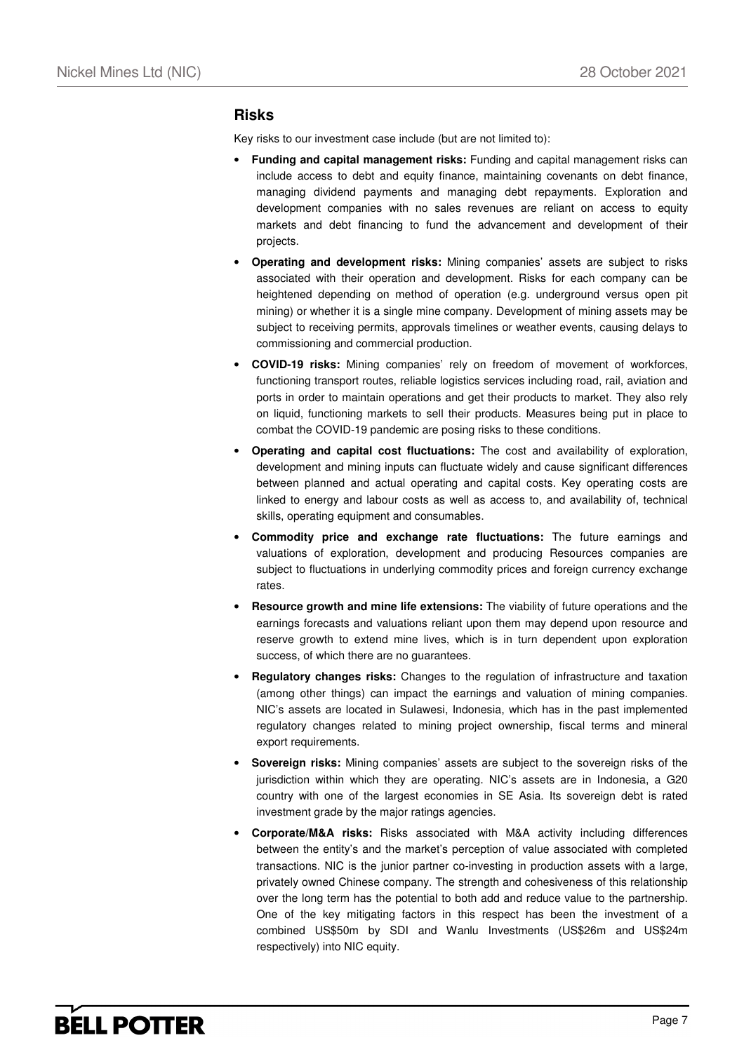#### **Risks**

Key risks to our investment case include (but are not limited to):

- **Funding and capital management risks:** Funding and capital management risks can include access to debt and equity finance, maintaining covenants on debt finance, managing dividend payments and managing debt repayments. Exploration and development companies with no sales revenues are reliant on access to equity markets and debt financing to fund the advancement and development of their projects.
- **Operating and development risks:** Mining companies' assets are subject to risks associated with their operation and development. Risks for each company can be heightened depending on method of operation (e.g. underground versus open pit mining) or whether it is a single mine company. Development of mining assets may be subject to receiving permits, approvals timelines or weather events, causing delays to commissioning and commercial production.
- **COVID-19 risks:** Mining companies' rely on freedom of movement of workforces, functioning transport routes, reliable logistics services including road, rail, aviation and ports in order to maintain operations and get their products to market. They also rely on liquid, functioning markets to sell their products. Measures being put in place to combat the COVID-19 pandemic are posing risks to these conditions.
- **Operating and capital cost fluctuations:** The cost and availability of exploration, development and mining inputs can fluctuate widely and cause significant differences between planned and actual operating and capital costs. Key operating costs are linked to energy and labour costs as well as access to, and availability of, technical skills, operating equipment and consumables.
- **Commodity price and exchange rate fluctuations:** The future earnings and valuations of exploration, development and producing Resources companies are subject to fluctuations in underlying commodity prices and foreign currency exchange rates.
- **Resource growth and mine life extensions:** The viability of future operations and the earnings forecasts and valuations reliant upon them may depend upon resource and reserve growth to extend mine lives, which is in turn dependent upon exploration success, of which there are no guarantees.
- **Regulatory changes risks:** Changes to the regulation of infrastructure and taxation (among other things) can impact the earnings and valuation of mining companies. NIC's assets are located in Sulawesi, Indonesia, which has in the past implemented regulatory changes related to mining project ownership, fiscal terms and mineral export requirements.
- **Sovereign risks:** Mining companies' assets are subject to the sovereign risks of the jurisdiction within which they are operating. NIC's assets are in Indonesia, a G20 country with one of the largest economies in SE Asia. Its sovereign debt is rated investment grade by the major ratings agencies.
- **Corporate/M&A risks:** Risks associated with M&A activity including differences between the entity's and the market's perception of value associated with completed transactions. NIC is the junior partner co-investing in production assets with a large, privately owned Chinese company. The strength and cohesiveness of this relationship over the long term has the potential to both add and reduce value to the partnership. One of the key mitigating factors in this respect has been the investment of a combined US\$50m by SDI and Wanlu Investments (US\$26m and US\$24m respectively) into NIC equity.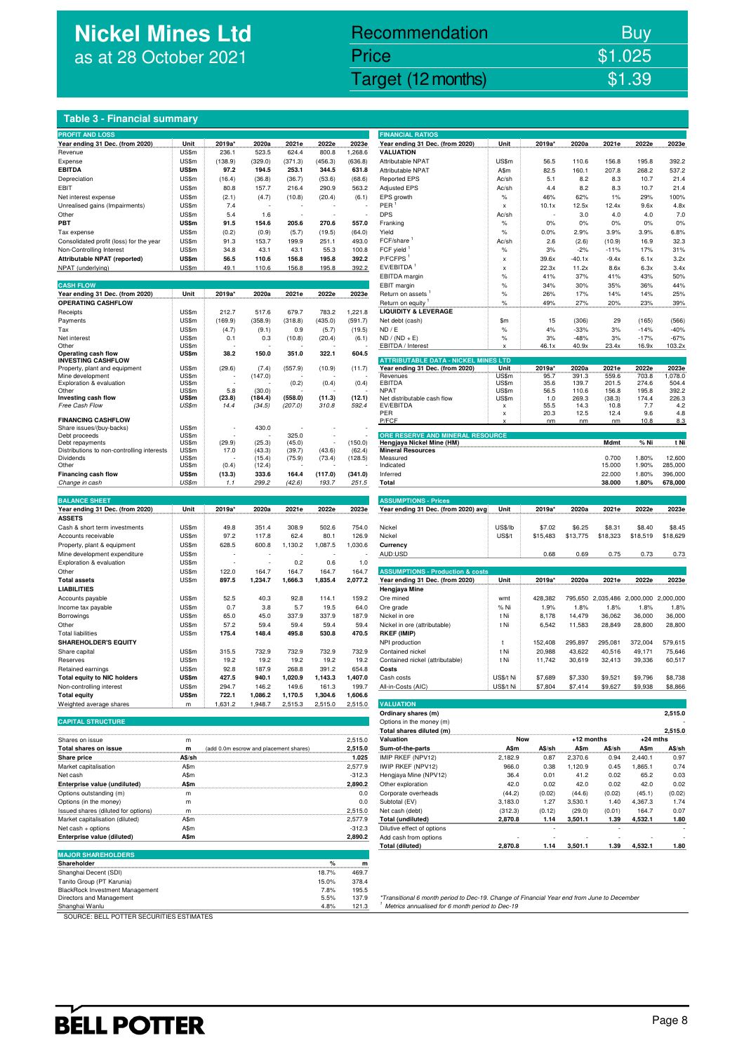## **Nickel Mines Ltd** as at 28 October 2021

### Nickel Mines Ltd (Nickel Mines Ltd (Nickel Mines Ltd (Nickel Mines Ltd (Nickel Mines Ltd Control) \$1.39 Recommendation Buy Price \$1.025

#### **Table 3 - Financial summary**

| <b>PROFIT AND LOSS</b>                             |                |                                        |         |         |                |                | <b>FINANCIAL RATIOS</b>                     |               |          |            |             |                                       |                  |
|----------------------------------------------------|----------------|----------------------------------------|---------|---------|----------------|----------------|---------------------------------------------|---------------|----------|------------|-------------|---------------------------------------|------------------|
| Year ending 31 Dec. (from 2020)                    | Unit           | 2019a*                                 | 2020a   | 2021e   | 2022e          | 2023e          | Year ending 31 Dec. (from 2020)             | Unit          | 2019a*   | 2020a      | 2021e       | 2022e                                 | 2023e            |
| Revenue                                            | US\$m          | 236.1                                  | 523.5   | 624.4   | 800.8          | 1,268.6        | <b>VALUATION</b>                            |               |          |            |             |                                       |                  |
| Expense                                            | US\$m          | (138.9)                                | (329.0) | (371.3) | (456.3)        | (636.8)        | Attributable NPAT                           | US\$m         | 56.5     | 110.6      | 156.8       | 195.8                                 | 392.2            |
| <b>EBITDA</b>                                      | US\$m          | 97.2                                   | 194.5   | 253.1   | 344.5          | 631.8          | Attributable NPAT                           | A\$m          | 82.5     | 160.1      | 207.8       | 268.2                                 | 537.2            |
| Depreciation                                       | US\$m          | (16.4)                                 | (36.8)  | (36.7)  | (53.6)         | (68.6)         | <b>Reported EPS</b>                         | Ac/sh         | 5.1      | 8.2        | 8.3         | 10.7                                  | 21.4             |
|                                                    |                |                                        |         |         |                |                |                                             |               |          |            |             |                                       |                  |
| EBIT                                               | US\$m          | 80.8                                   | 157.7   | 216.4   | 290.9          | 563.2          | <b>Adjusted EPS</b>                         | Ac/sh         | 4.4      | 8.2        | 8.3         | 10.7                                  | 21.4             |
| Net interest expense                               | US\$m          | (2.1)                                  | (4.7)   | (10.8)  | (20.4)         | (6.1)          | EPS growth                                  | $\%$          | 46%      | 62%        | 1%          | 29%                                   | 100%             |
| Unrealised gains (Impairments)                     | US\$m          | 7.4                                    |         |         |                |                | PER                                         | x             | 10.1x    | 12.5x      | 12.4x       | 9.6x                                  | 4.8x             |
| Other                                              | US\$m          | 5.4                                    | 1.6     |         |                |                | <b>DPS</b>                                  | Ac/sh         |          | 3.0        | 4.0         | 4.0                                   | 7.0              |
| PBT                                                | US\$m          | 91.5                                   | 154.6   | 205.6   | 270.6          | 557.0          | Franking                                    | %             | 0%       | 0%         | 0%          | 0%                                    | 0%               |
| Tax expense                                        | US\$m          | (0.2)                                  | (0.9)   | (5.7)   | (19.5)         | (64.0)         | Yield                                       | %             | 0.0%     | 2.9%       | 3.9%        | 3.9%                                  | 6.8%             |
| Consolidated profit (loss) for the year            | US\$m          | 91.3                                   | 153.7   | 199.9   | 251.1          | 493.0          | FCF/share                                   | Ac/sh         | 2.6      | (2.6)      | (10.9)      | 16.9                                  | 32.3             |
| Non-Controlling Interest                           | US\$m          | 34.8                                   | 43.1    | 43.1    | 55.3           | 100.8          | FCF vield <sup>1</sup>                      | $\%$          | 3%       | $-2%$      | $-11%$      | 17%                                   | 31%              |
| Attributable NPAT (reported)                       | <b>US\$m</b>   | 56.5                                   | 110.6   | 156.8   | 195.8          | 392.2          | P/FCFPS                                     |               |          |            |             |                                       |                  |
|                                                    |                |                                        |         |         |                |                |                                             | x             | 39.6x    | $-40.1x$   | $-9.4x$     | 6.1x                                  | 3.2x             |
| NPAT (underlying)                                  | US\$m          | 49.1                                   | 110.6   | 156.8   | 195.8          | 392.2          | EV/EBITDA                                   | x             | 22.3x    | 11.2x      | 8.6x        | 6.3x                                  | 3.4x             |
|                                                    |                |                                        |         |         |                |                | EBITDA margin                               | $\%$          | 41%      | 37%        | 41%         | 43%                                   | 50%              |
| <b>CASH FLOW</b>                                   |                |                                        |         |         |                |                | EBIT margin                                 | $\%$          | 34%      | 30%        | 35%         | 36%                                   | 44%              |
| Year ending 31 Dec. (from 2020)                    | Unit           | 2019a*                                 | 2020a   | 2021e   | 2022e          | 2023e          | Return on assets                            | %             | 26%      | 17%        | 14%         | 14%                                   | 25%              |
| OPERATING CASHFLOW                                 |                |                                        |         |         |                |                | Return on equity                            | $\%$          | 49%      | 27%        | 20%         | 23%                                   | 39%              |
| Receipts                                           | US\$m          | 212.7                                  | 517.6   | 679.7   | 783.2          | 1,221.8        | <b>LIQUIDITY &amp; LEVERAGE</b>             |               |          |            |             |                                       |                  |
| Payments                                           | US\$m          | (169.9)                                | (358.9) | (318.8) | (435.0)        | (591.7)        | Net debt (cash)                             | \$m           | 15       | (306)      | 29          | (165)                                 | (566)            |
| Tax                                                | US\$m          | (4.7)                                  | (9.1)   | 0.9     | (5.7)          | (19.5)         | ND / E                                      | $\%$          | 4%       | $-33%$     | 3%          | $-14%$                                | $-40%$           |
|                                                    |                |                                        |         |         |                |                |                                             |               |          |            |             |                                       |                  |
| Net interest<br>Other                              | US\$m          | 0.1                                    | 0.3     | (10.8)  | (20.4)         | (6.1)          | $ND / (ND + E)$                             | $\%$          | 3%       | $-48%$     | 3%          | $-17%$                                | $-67%$<br>103.2x |
| Operating cash flow                                | US\$m<br>US\$m | 38.2                                   | 150.0   | 351.0   | 322.1          | 604.5          | <b>EBITDA</b> / Interest                    |               | 46.1x    | 40.9x      | 23.4x       | 16.9x                                 |                  |
| <b>INVESTING CASHFLOW</b>                          |                |                                        |         |         |                |                | <b>ATTRIBUTABLE DATA - NICKEL MINES LTD</b> |               |          |            |             |                                       |                  |
| Property, plant and equipment                      | US\$m          | (29.6)                                 | (7.4)   | (557.9) | (10.9)         | (11.7)         | Year ending 31 Dec. (from 2020)             | <b>Unit</b>   | 2019a*   | 2020a      | 2021e       | 2022e                                 | 2023e            |
| Mine development                                   | US\$m          |                                        | (147.0) |         |                |                | Revenues                                    | US\$m         | 95.7     | 391.3      | 559.6       | 703.8                                 | 1,078.0          |
| Exploration & evaluation                           | US\$m          |                                        |         | (0.2)   | (0.4)          | (0.4)          | EBITDA                                      | US\$m         | 35.6     | 139.7      | 201.5       | 274.6                                 | 504.4            |
| Other                                              | US\$m          | 5.8                                    | (30.0)  |         |                |                | <b>NPAT</b>                                 | US\$m         | 56.5     | 110.6      | 156.8       | 195.8                                 | 392.2            |
| Investing cash flow                                | US\$m          | (23.8)                                 | (184.4) | (558.0) | (11.3)         | (12.1)         | Net distributable cash flow                 | US\$m         | 1.0      | 269.3      | (38.3)      | 174.4                                 | 226.3            |
| Free Cash Flow                                     | US\$m          | 14.4                                   | (34.5)  | (207.0) | 310.8          | 592.4          | EV/EBITDA                                   | x             | 55.5     | 14.3       | 10.8        | 7.7                                   | 4.2              |
|                                                    |                |                                        |         |         |                |                | PER                                         | x             | 20.3     | 12.5       | 12.4        | 9.6                                   | 4.8              |
| <b>FINANCING CASHFLOW</b>                          |                |                                        |         |         |                |                | P/FCF                                       |               | nm       | nm         | nm          | 10.8                                  | 8.3              |
| Share issues/(buy-backs)                           | US\$m          |                                        | 430.0   |         |                |                |                                             |               |          |            |             |                                       |                  |
| Debt proceeds                                      | US\$m          |                                        |         | 325.0   |                |                | ORE RESERVE AND MINERAL RESOURCE            |               |          |            |             |                                       |                  |
| Debt repayments                                    | US\$m          | (29.9)                                 | (25.3)  | (45.0)  |                | (150.0)        | Hengjaya Nickel Mine (HM)                   |               |          |            | <b>Mdmt</b> | % Ni                                  | t Ni             |
| Distributions to non-controlling interests         | US\$m          | 17.0                                   | (43.3)  | (39.7)  | (43.6)         | (62.4)         | <b>Mineral Resources</b>                    |               |          |            |             |                                       |                  |
| Dividends                                          | US\$m          |                                        | (15.4)  | (75.9)  | (73.4)         | (128.5)        | Measured                                    |               |          |            | 0.700       | 1.80%                                 | 12,600           |
| Other                                              | US\$m          | (0.4)                                  | (12.4)  |         |                |                | Indicated                                   |               |          |            | 15.000      | 1.90%                                 | 285,000          |
| Financing cash flow                                | US\$m          | (13.3)                                 | 333.6   | 164.4   | (117.0)        | (341.0)        | Inferred                                    |               |          |            | 22.000      | 1.80%                                 | 396,000          |
| Change in cash                                     | US\$m          | 1.1                                    | 299.2   | (42.6)  | 193.7          | 251.5          | Total                                       |               |          |            | 38.000      | 1.80%                                 | 678,000          |
|                                                    |                |                                        |         |         |                |                |                                             |               |          |            |             |                                       |                  |
| <b>BALANCE SHEET</b>                               |                |                                        |         |         |                |                | <b>ASSUMPTIONS - Prices</b>                 |               |          |            |             |                                       |                  |
| Year ending 31 Dec. (from 2020)                    | Unit           | 2019a*                                 | 2020a   | 2021e   | 2022e          | 2023e          | Year ending 31 Dec. (from 2020) avg         | Unit          | 2019a*   | 2020a      | 2021e       | 2022e                                 | 2023e            |
| <b>ASSETS</b>                                      |                |                                        |         |         |                |                |                                             |               |          |            |             |                                       |                  |
| Cash & short term investments                      | US\$m          | 49.8                                   | 351.4   | 308.9   | 502.6          | 754.0          | Nickel                                      | US\$/lb       | \$7.02   | \$6.25     | \$8.31      | \$8.40                                | \$8.45           |
| Accounts receivable                                | US\$m          | 97.2                                   | 117.8   | 62.4    | 80.1           | 126.9          | Nickel                                      | <b>US\$/t</b> | \$15,483 | \$13,775   | \$18,323    | \$18,519                              | \$18,629         |
|                                                    |                |                                        |         |         |                |                |                                             |               |          |            |             |                                       |                  |
| Property, plant & equipment                        | US\$m          | 628.5                                  | 600.8   | 1,130.2 | 1,087.5        | 1,030.6        | Currency                                    |               |          |            |             |                                       |                  |
| Mine development expenditure                       | US\$m          |                                        |         |         |                |                | AUD:USD                                     |               | 0.68     | 0.69       | 0.75        | 0.73                                  | 0.73             |
| Exploration & evaluation                           | US\$m          |                                        |         | 0.2     | 0.6            | 1.0            |                                             |               |          |            |             |                                       |                  |
| Other                                              | US\$m          | 122.0                                  | 164.7   | 164.7   | 164.7          | 164.7          | <b>ASSUMPTIONS - Production &amp; costs</b> |               |          |            |             |                                       |                  |
| <b>Total assets</b>                                | US\$m          | 897.5                                  | 1,234.7 | 1,666.3 | 1,835.4        | 2,077.2        | Year ending 31 Dec. (from 2020)             | <b>Unit</b>   | 2019a*   | 2020a      | 2021e       | 2022e                                 | 2023e            |
| <b>LIABILITIES</b>                                 |                |                                        |         |         |                |                | Hengjaya Mine                               |               |          |            |             |                                       |                  |
| Accounts payable                                   | US\$m          | 52.5                                   | 40.3    | 92.8    | 114.1          | 159.2          | Ore mined                                   | wmt           | 428,382  |            |             | 795,650 2,035,486 2,000,000 2,000,000 |                  |
| Income tax payable                                 | US\$m          | 0.7                                    | 3.8     | 5.7     | 19.5           | 64.0           | Ore grade                                   | % Ni          | 1.9%     | 1.8%       | 1.8%        | 1.8%                                  | 1.8%             |
|                                                    |                |                                        | 45.0    |         | 337.9          |                |                                             |               |          |            |             | 36,000                                |                  |
| Borrowings                                         | US\$m          | 65.0                                   |         | 337.9   |                | 187.9          |                                             |               |          |            |             |                                       | 36,000           |
| Other                                              |                |                                        |         |         |                |                | Nickel in ore                               | t Ni          | 8,178    | 14,479     | 36,062      |                                       | 28,800           |
|                                                    | US\$m          | 57.2                                   | 59.4    | 59.4    | 59.4           | 59.4           | Nickel in ore (attributable)                | t Ni          | 6,542    | 11,583     | 28,849      | 28,800                                |                  |
| <b>Total liabilities</b>                           | US\$m          | 175.4                                  | 148.4   | 495.8   | 530.8          | 470.5          | <b>RKEF (IMIP)</b>                          |               |          |            |             |                                       |                  |
| <b>SHAREHOLDER'S EQUITY</b>                        |                |                                        |         |         |                |                | NPI production                              | t             | 152,408  | 295,897    | 295,081     | 372,004                               | 579,615          |
| Share capital                                      | US\$m          | 315.5                                  | 732.9   | 732.9   | 732.9          | 732.9          | Contained nickel                            | t Ni          | 20,988   | 43,622     | 40,516      | 49,171                                | 75,646           |
| Reserves                                           | US\$m          | 19.2                                   | 19.2    | 19.2    | 19.2           | 19.2           | Contained nickel (attributable)             | t Ni          | 11,742   | 30,619     | 32,413      | 39,336                                | 60,517           |
| Retained earnings                                  | US\$m          | 92.8                                   | 187.9   | 268.8   | 391.2          | 654.8          | Costs                                       |               |          |            |             |                                       |                  |
|                                                    |                |                                        |         |         |                |                |                                             |               |          |            |             |                                       |                  |
| <b>Total equity to NIC holders</b>                 | US\$m          | 427.5                                  | 940.1   | 1,020.9 | 1,143.3        | 1,407.0        | Cash costs                                  | US\$/t Ni     | \$7,689  | \$7,330    | \$9,521     | \$9,796                               | \$8,738          |
| Non-controlling interest                           | US\$m          | 294.7                                  | 146.2   | 149.6   | 161.3          | 199.7          | All-in-Costs (AIC)                          | US\$/t Ni     | \$7,804  | \$7,414    | \$9,627     | \$9,938                               | \$8,866          |
| <b>Total equity</b>                                | US\$m          | 722.1                                  | 1,086.2 | 1,170.5 | 1,304.6        | 1,606.6        |                                             |               |          |            |             |                                       |                  |
| Weighted average shares                            | m              | 1,631.2                                | 1,948.7 | 2,515.3 | 2,515.0        | 2,515.0        | <b>VALUATION</b>                            |               |          |            |             |                                       |                  |
|                                                    |                |                                        |         |         |                |                | Ordinary shares (m)                         |               |          |            |             |                                       | 2,515.0          |
| <b>CAPITAL STRUCTURE</b>                           |                |                                        |         |         |                |                | Options in the money (m)                    |               |          |            |             |                                       |                  |
|                                                    |                |                                        |         |         |                |                | Total shares diluted (m)                    |               |          |            |             |                                       | 2,515.0          |
| Shares on issue                                    | m              |                                        |         |         |                | 2,515.0        | Valuation                                   | <b>Now</b>    |          | +12 months |             | $+24$ mths                            |                  |
| Total shares on issue                              | m              | (add 0.0m escrow and placement shares) |         |         |                | 2,515.0        | Sum-of-the-parts                            | A\$m          | A\$/sh   | A\$m       | A\$/sh      | A\$m                                  | A\$/sh           |
|                                                    |                |                                        |         |         |                |                |                                             |               |          |            |             |                                       |                  |
| Share price                                        | A\$/sh         |                                        |         |         |                | 1.025          | IMIP RKEF (NPV12)                           | 2,182.9       | 0.87     | 2,370.6    | 0.94        | 2,440.1                               | 0.97             |
| Market capitalisation                              | A\$m           |                                        |         |         |                | 2,577.9        | IWIP RKEF (NPV12)                           | 966.0         | 0.38     | 1,120.9    | 0.45        | 1,865.1                               | 0.74             |
| Net cash                                           | A\$m           |                                        |         |         |                | $-312.3$       | Hengjaya Mine (NPV12)                       | 36.4          | 0.01     | 41.2       | 0.02        | 65.2                                  | 0.03             |
| Enterprise value (undiluted)                       | A\$m           |                                        |         |         |                | 2,890.2        | Other exploration                           | 42.0          | 0.02     | 42.0       | 0.02        | 42.0                                  | 0.02             |
| Options outstanding (m)                            | m              |                                        |         |         |                | 0.0            | Corporate overheads                         | (44.2)        | (0.02)   | (44.6)     | (0.02)      | (45.1)                                | (0.02)           |
| Options (in the money)                             | m              |                                        |         |         |                | 0.0            | Subtotal (EV)                               | 3,183.0       | 1.27     | 3,530.1    | 1.40        | 4,367.3                               | 1.74             |
| Issued shares (diluted for options)                | m              |                                        |         |         |                | 2,515.0        | Net cash (debt)                             | (312.3)       | (0.12)   | (29.0)     | (0.01)      | 164.7                                 | 0.07             |
| Market capitalisation (diluted)                    | A\$m           |                                        |         |         |                | 2,577.9        | Total (undiluted)                           | 2,870.8       | 1.14     | 3,501.1    | 1.39        | 4,532.1                               | 1.80             |
|                                                    |                |                                        |         |         |                |                |                                             |               |          |            |             |                                       |                  |
| Net cash + options                                 | A\$m           |                                        |         |         |                | $-312.3$       | Dilutive effect of options                  |               |          |            |             |                                       |                  |
| Enterprise value (diluted)                         | A\$m           |                                        |         |         |                | 2,890.2        | Add cash from options                       |               |          |            |             |                                       |                  |
|                                                    |                |                                        |         |         |                |                | <b>Total (diluted)</b>                      | 2,870.8       | 1.14     | 3,501.1    | 1.39        | 4,532.1                               | 1.80             |
| <b>MAJOR SHAREHOLDERS</b>                          |                |                                        |         |         |                |                |                                             |               |          |            |             |                                       |                  |
| Shareholder                                        |                |                                        |         |         | %              | m              |                                             |               |          |            |             |                                       |                  |
| Shanghai Decent (SDI)<br>Tanito Group (PT Karunia) |                |                                        |         |         | 18.7%<br>15.0% | 469.7<br>378.4 |                                             |               |          |            |             |                                       |                  |

| <b>Shareholder</b>                     |       |       |                                                                                            |
|----------------------------------------|-------|-------|--------------------------------------------------------------------------------------------|
| Shanghai Decent (SDI)                  | 18.7% | 469.7 |                                                                                            |
| Tanito Group (PT Karunia)              | 15.0% | 378.4 |                                                                                            |
| <b>BlackRock Investment Management</b> | 7.8%  | 195.5 |                                                                                            |
| Directors and Management               | 5.5%  | 137.9 | *Transitional 6 month period to Dec-19. Change of Financial Year end from June to December |
| Shanghai Wanlu                         | 4.8%  | 121.3 | Metrics annualised for 6 month period to Dec-19                                            |
|                                        |       |       |                                                                                            |

| <b>FINANCIAL RATIOS</b>                                       |                    |                   |                   |                   |                                       |                   |
|---------------------------------------------------------------|--------------------|-------------------|-------------------|-------------------|---------------------------------------|-------------------|
| Year ending 31 Dec. (from 2020)                               | Unit               | 2019a*            | 2020a             | 2021e             | 2022e                                 | 2023e             |
| <b>VALUATION</b>                                              |                    |                   |                   |                   |                                       |                   |
| Attributable NPAT                                             | US\$m              | 56.5              | 110.6             | 156.8             | 195.8                                 | 392.2             |
| Attributable NPAT                                             | A\$m               | 82.5              | 160.1             | 207.8             | 268.2                                 | 537.2             |
| <b>Reported EPS</b><br><b>Adjusted EPS</b>                    | Ac/sh<br>Ac/sh     | 5.1<br>4.4        | 8.2<br>8.2        | 8.3<br>8.3        | 10.7<br>10.7                          | 21.4<br>21.4      |
| EPS growth                                                    | %                  | 46%               | 62%               | 1%                | 29%                                   | 100%              |
| PER <sup>1</sup>                                              | x                  | 10.1x             | 12.5x             | 12.4x             | 9.6x                                  | 4.8x              |
| DPS                                                           | Ac/sh              |                   | 3.0               | 4.0               | 4.0                                   | 7.0               |
| Franking                                                      | $\%$               | 0%                | 0%                | 0%                | 0%                                    | 0%                |
| Yield                                                         | %                  | 0.0%              | 2.9%              | 3.9%              | 3.9%                                  | 6.8%              |
| FCF/share 1                                                   | Ac/sh              | 2.6               | (2.6)             | (10.9)            | 16.9                                  | 32.3              |
| FCF yield <sup>1</sup>                                        | %                  | 3%                | $-2%$             | -11%              | 17%                                   | 31%               |
| P/FCFPS <sup>1</sup>                                          | x                  | 39.6x             | $-40.1x$          | $-9.4x$           | 6.1x                                  | 3.2x              |
| EV/EBITDA <sup>1</sup>                                        | x                  | 22.3x             | 11.2x             | 8.6x              | 6.3x                                  | 3.4x              |
| <b>EBITDA</b> margin                                          | %                  | 41%               | 37%               | 41%               | 43%                                   | 50%               |
| EBIT margin                                                   | %                  | 34%               | 30%               | 35%               | 36%                                   | 44%               |
| Return on assets 1                                            | %                  | 26%               | 17%               | 14%               | 14%                                   | 25%               |
| Return on equity                                              | %                  | 49%               | 27%               | 20%               | 23%                                   | 39%               |
| <b>LIQUIDITY &amp; LEVERAGE</b>                               | \$m                |                   |                   |                   |                                       |                   |
| Net debt (cash)<br>ND / E                                     | %                  | 15<br>4%          | (306)<br>$-33%$   | 29<br>3%          | (165)<br>$-14%$                       | (566)<br>$-40%$   |
| ND / (ND + E)                                                 | %                  | 3%                | $-48%$            | 3%                | $-17%$                                | $-67%$            |
| EBITDA / Interest                                             | x                  | 46.1x             | 40.9x             | 23.4x             | 16.9x                                 | 103.2x            |
|                                                               |                    |                   |                   |                   |                                       |                   |
| <b>ATTRIBUTABLE DATA - NICKEL MINES LTD</b>                   |                    |                   |                   | 2021e             |                                       |                   |
| Year ending 31 Dec. (from 2020)<br>Revenues                   | Unit<br>US\$m      | 2019a*<br>95.7    | 2020a<br>391.3    | 559.6             | 2022e<br>703.8                        | 2023e<br>1,078.0  |
| EBITDA                                                        | US\$m              | 35.6              | 139.7             | 201.5             | 274.6                                 | 504.4             |
| NPAT                                                          | US\$m              | 56.5              | 110.6             | 156.8             | 195.8                                 | 392.2             |
| Net distributable cash flow                                   | US\$m              | 1.0<br>55.5       | 269.3<br>14.3     | (38.3)            | 174.4                                 | 226.3             |
| EV/EBITDA<br>PER                                              | x<br>x             | 20.3              | 12.5              | 10.8<br>12.4      | 7.7<br>9.6                            | 4.2<br>4.8        |
| P/FCF                                                         | x                  | nm                | nm                | nm                | 10.8                                  | 8.3               |
|                                                               |                    |                   |                   |                   |                                       |                   |
| ORE RESERVE AND MINERAL RESOURCE<br>Hengjaya Nickel Mine (HM) |                    |                   |                   | Mdmt              | % Ni                                  | t Ni              |
| <b>Mineral Resources</b>                                      |                    |                   |                   |                   |                                       |                   |
| Measured                                                      |                    |                   |                   | 0.700             | 1.80%                                 | 12,600            |
| Indicated                                                     |                    |                   |                   | 15.000            | 1.90%                                 | 285,000           |
|                                                               |                    |                   |                   |                   |                                       |                   |
| Inferred                                                      |                    |                   |                   | 22.000            | 1.80%                                 | 396,000           |
| Total                                                         |                    |                   |                   | 38.000            | 1.80%                                 | 678,000           |
|                                                               |                    |                   |                   |                   |                                       |                   |
| <b>ASSUMPTIONS - Prices</b>                                   |                    |                   |                   |                   |                                       |                   |
| Year ending 31 Dec. (from 2020) avg                           | Unit               | 2019a*            | 2020a             | 2021e             | 2022e                                 | 2023e             |
| Nickel                                                        | US\$/lb            | \$7.02            | \$6.25            | \$8.31            | \$8.40                                | \$8.45            |
| Nickel                                                        | <b>US\$/t</b>      | \$15,483          | \$13,775          | \$18,323          | \$18,519                              | \$18,629          |
| Currency                                                      |                    |                   |                   |                   |                                       |                   |
| AUD:USD                                                       |                    | 0.68              | 0.69              | 0.75              | 0.73                                  | 0.73              |
|                                                               |                    |                   |                   |                   |                                       |                   |
| <b>ASSUMPTIONS - Production &amp; costs</b>                   |                    |                   |                   |                   |                                       |                   |
| Year ending 31 Dec. (from 2020)                               | Unit               | $2019a^{\star}$   | 2020a             | 2021e             | 2022e                                 | 2023e             |
| Hengjaya Mine                                                 |                    |                   |                   |                   |                                       |                   |
| Ore mined                                                     | wmt                | 428,382           |                   |                   | 795,650 2,035,486 2,000,000 2,000,000 |                   |
| Ore grade                                                     | % Ni               | 1.9%              | 1.8%              | 1.8%              | 1.8%                                  | 1.8%              |
| Nickel in ore                                                 | t Ni               | 8,178             | 14,479            | 36,062            | 36,000                                | 36,000            |
| Nickel in ore (attributable)<br>RKEF (IMIP)                   | t Ni               | 6,542             | 11,583            | 28,849            | 28,800                                | 28,800            |
|                                                               | t                  |                   |                   |                   |                                       |                   |
| NPI production<br>Contained nickel                            | t Ni               | 152,408<br>20,988 | 295,897<br>43,622 | 295,081<br>40,516 | 372,004<br>49,171                     | 579,615<br>75,646 |
| Contained nickel (attributable)                               | t Ni               | 11,742            | 30,619            | 32,413            | 39,336                                | 60,517            |
| Costs                                                         |                    |                   |                   |                   |                                       |                   |
| Casn costs                                                    | US\$/t Ni          | \$7,689           | \$7,330           | \$9,521           | \$9,796                               | \$8,738           |
| All-in-Costs (AIC)                                            | <b>US\$/t Ni</b>   | \$7,804           | \$7,414           | \$9,627           | \$9,938                               | \$8,866           |
|                                                               |                    |                   |                   |                   |                                       |                   |
| <b>VALUATION</b>                                              |                    |                   |                   |                   |                                       |                   |
| Ordinary shares (m)                                           |                    |                   |                   |                   |                                       | 2,515.0           |
| Options in the money (m)                                      |                    |                   |                   |                   |                                       |                   |
| Total shares diluted (m)                                      |                    |                   |                   |                   |                                       | 2,515.0           |
| Valuation                                                     |                    | Now               | +12 months        |                   | $+24$ mths                            |                   |
| Sum-of-the-parts A\$m                                         |                    | A\$/sh A\$m       |                   |                   | A\$/sh A\$m                           | A\$/sh            |
| IMIP RKEF (NPV12)                                             | 2,182.9            | 0.87              | 2,370.6           | 0.94              | 2,440.1                               | 0.97              |
| IWIP RKEF (NPV12)                                             | 966.0              | 0.38              | 1,120.9           | 0.45              | 1,865.1                               | 0.74              |
| Hengjaya Mine (NPV12)                                         | 36.4               | 0.01              | 41.2              | 0.02              | 65.2                                  | 0.03              |
| Other exploration                                             | 42.0               | 0.02              | 42.0              | 0.02              | 42.0                                  | 0.02              |
| Corporate overheads                                           | (44.2)             | (0.02)            | (44.6)<br>3,530.1 | (0.02)            | (45.1)<br>4,367.3                     | (0.02)            |
| Subtotal (EV)<br>Net cash (debt)                              | 3,183.0<br>(312.3) | 1.27<br>(0.12)    | (29.0)            | 1.40<br>(0.01)    | 164.7                                 | 1.74<br>0.07      |
| Total (undiluted)                                             | 2,870.8            | 1.14              | 3,501.1           | 1.39              | 4,532.1                               | 1.80              |

SOURCE: BELL POTTER SECURITIES ESTIMATES